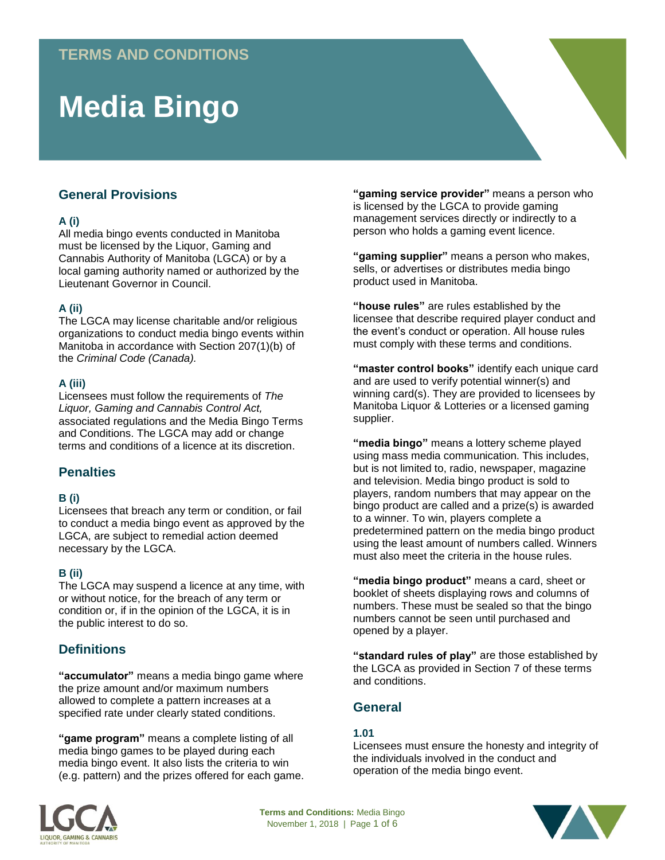# **Media Bingo**

# **General Provisions**

# **A (i)**

All media bingo events conducted in Manitoba must be licensed by the Liquor, Gaming and Cannabis Authority of Manitoba (LGCA) or by a local gaming authority named or authorized by the Lieutenant Governor in Council.

# **A (ii)**

The LGCA may license charitable and/or religious organizations to conduct media bingo events within Manitoba in accordance with Section 207(1)(b) of the *Criminal Code (Canada).* 

## **A (iii)**

Licensees must follow the requirements of *The Liquor, Gaming and Cannabis Control Act,*  associated regulations and the Media Bingo Terms and Conditions. The LGCA may add or change terms and conditions of a licence at its discretion.

# **Penalties**

## **B (i)**

Licensees that breach any term or condition, or fail to conduct a media bingo event as approved by the LGCA, are subject to remedial action deemed necessary by the LGCA.

## **B (ii)**

The LGCA may suspend a licence at any time, with or without notice, for the breach of any term or condition or, if in the opinion of the LGCA, it is in the public interest to do so.

# **Definitions**

**"accumulator"** means a media bingo game where the prize amount and/or maximum numbers allowed to complete a pattern increases at a specified rate under clearly stated conditions.

**"game program"** means a complete listing of all media bingo games to be played during each media bingo event. It also lists the criteria to win (e.g. pattern) and the prizes offered for each game.

**"gaming service provider"** means a person who is licensed by the LGCA to provide gaming management services directly or indirectly to a person who holds a gaming event licence.

**"gaming supplier"** means a person who makes, sells, or advertises or distributes media bingo product used in Manitoba.

**"house rules"** are rules established by the licensee that describe required player conduct and the event's conduct or operation. All house rules must comply with these terms and conditions.

**"master control books"** identify each unique card and are used to verify potential winner(s) and winning card(s). They are provided to licensees by Manitoba Liquor & Lotteries or a licensed gaming supplier.

**"media bingo"** means a lottery scheme played using mass media communication. This includes, but is not limited to, radio, newspaper, magazine and television. Media bingo product is sold to players, random numbers that may appear on the bingo product are called and a prize(s) is awarded to a winner. To win, players complete a predetermined pattern on the media bingo product using the least amount of numbers called. Winners must also meet the criteria in the house rules.

**"media bingo product"** means a card, sheet or booklet of sheets displaying rows and columns of numbers. These must be sealed so that the bingo numbers cannot be seen until purchased and opened by a player.

**"standard rules of play"** are those established by the LGCA as provided in Section 7 of these terms and conditions.

# **General**

## **1.01**

Licensees must ensure the honesty and integrity of the individuals involved in the conduct and operation of the media bingo event.



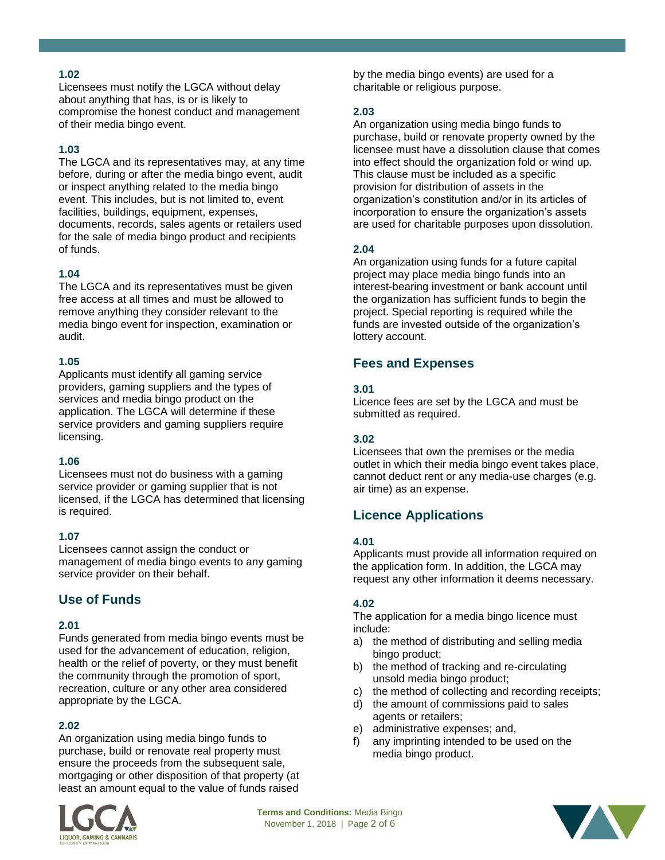# **1.02**

Licensees must notify the LGCA without delay about anything that has, is or is likely to compromise the honest conduct and management of their media bingo event.

# **1.03**

The LGCA and its representatives may, at any time before, during or after the media bingo event, audit or inspect anything related to the media bingo event. This includes, but is not limited to, event facilities, buildings, equipment, expenses, documents, records, sales agents or retailers used for the sale of media bingo product and recipients of funds.

## **1.04**

The LGCA and its representatives must be given free access at all times and must be allowed to remove anything they consider relevant to the media bingo event for inspection, examination or audit.

## **1.05**

Applicants must identify all gaming service providers, gaming suppliers and the types of services and media bingo product on the application. The LGCA will determine if these service providers and gaming suppliers require licensing.

## **1.06**

Licensees must not do business with a gaming service provider or gaming supplier that is not licensed, if the LGCA has determined that licensing is required.

## **1.07**

Licensees cannot assign the conduct or management of media bingo events to any gaming service provider on their behalf.

# **Use of Funds**

## **2.01**

Funds generated from media bingo events must be used for the advancement of education, religion, health or the relief of poverty, or they must benefit the community through the promotion of sport, recreation, culture or any other area considered appropriate by the LGCA.

## **2.02**

An organization using media bingo funds to purchase, build or renovate real property must ensure the proceeds from the subsequent sale, mortgaging or other disposition of that property (at least an amount equal to the value of funds raised



by the media bingo events) are used for a charitable or religious purpose.

## **2.03**

An organization using media bingo funds to purchase, build or renovate property owned by the licensee must have a dissolution clause that comes into effect should the organization fold or wind up. This clause must be included as a specific provision for distribution of assets in the organization's constitution and/or in its articles of incorporation to ensure the organization's assets are used for charitable purposes upon dissolution.

## **2.04**

An organization using funds for a future capital project may place media bingo funds into an interest-bearing investment or bank account until the organization has sufficient funds to begin the project. Special reporting is required while the funds are invested outside of the organization's lottery account.

# **Fees and Expenses**

## **3.01**

Licence fees are set by the LGCA and must be submitted as required.

## **3.02**

Licensees that own the premises or the media outlet in which their media bingo event takes place, cannot deduct rent or any media-use charges (e.g. air time) as an expense.

# **Licence Applications**

## **4.01**

Applicants must provide all information required on the application form. In addition, the LGCA may request any other information it deems necessary.

## **4.02**

The application for a media bingo licence must include:

- a) the method of distributing and selling media bingo product;
- b) the method of tracking and re-circulating unsold media bingo product;
- c) the method of collecting and recording receipts;
- d) the amount of commissions paid to sales agents or retailers;
- e) administrative expenses; and,
- f) any imprinting intended to be used on the media bingo product.

**Terms and Conditions:** Media Bingo November 1, 2018 | Page 2 of 6

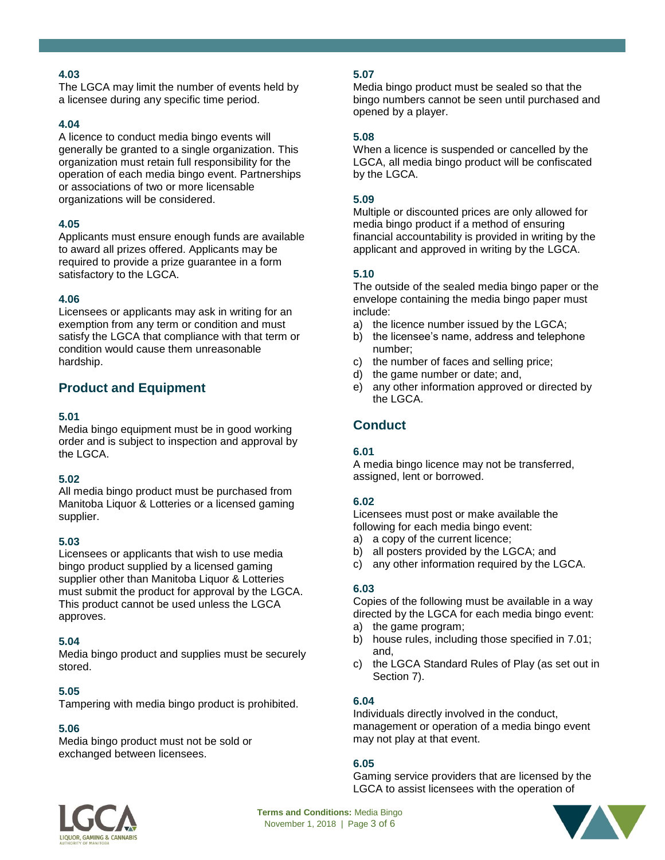# **4.03**

The LGCA may limit the number of events held by a licensee during any specific time period.

## **4.04**

A licence to conduct media bingo events will generally be granted to a single organization. This organization must retain full responsibility for the operation of each media bingo event. Partnerships or associations of two or more licensable organizations will be considered.

## **4.05**

Applicants must ensure enough funds are available to award all prizes offered. Applicants may be required to provide a prize guarantee in a form satisfactory to the LGCA.

## **4.06**

Licensees or applicants may ask in writing for an exemption from any term or condition and must satisfy the LGCA that compliance with that term or condition would cause them unreasonable hardship.

# **Product and Equipment**

## **5.01**

Media bingo equipment must be in good working order and is subject to inspection and approval by the LGCA.

## **5.02**

All media bingo product must be purchased from Manitoba Liquor & Lotteries or a licensed gaming supplier.

## **5.03**

Licensees or applicants that wish to use media bingo product supplied by a licensed gaming supplier other than Manitoba Liquor & Lotteries must submit the product for approval by the LGCA. This product cannot be used unless the LGCA approves.

## **5.04**

Media bingo product and supplies must be securely stored.

## **5.05**

Tampering with media bingo product is prohibited.

## **5.06**

Media bingo product must not be sold or exchanged between licensees.

# **5.07**

Media bingo product must be sealed so that the bingo numbers cannot be seen until purchased and opened by a player.

## **5.08**

When a licence is suspended or cancelled by the LGCA, all media bingo product will be confiscated by the LGCA.

## **5.09**

Multiple or discounted prices are only allowed for media bingo product if a method of ensuring financial accountability is provided in writing by the applicant and approved in writing by the LGCA.

## **5.10**

The outside of the sealed media bingo paper or the envelope containing the media bingo paper must include:

- a) the licence number issued by the LGCA;
- b) the licensee's name, address and telephone number;
- c) the number of faces and selling price;
- d) the game number or date; and,
- e) any other information approved or directed by the LGCA.

# **Conduct**

## **6.01**

A media bingo licence may not be transferred, assigned, lent or borrowed.

## **6.02**

Licensees must post or make available the following for each media bingo event:

- a) a copy of the current licence;
- b) all posters provided by the LGCA; and
- c) any other information required by the LGCA.

## **6.03**

Copies of the following must be available in a way directed by the LGCA for each media bingo event:

- a) the game program;
- b) house rules, including those specified in 7.01; and,
- c) the LGCA Standard Rules of Play (as set out in Section 7).

## **6.04**

Individuals directly involved in the conduct, management or operation of a media bingo event may not play at that event.

## **6.05**

Gaming service providers that are licensed by the LGCA to assist licensees with the operation of



**Terms and Conditions:** Media Bingo November 1, 2018 | Page 3 of 6

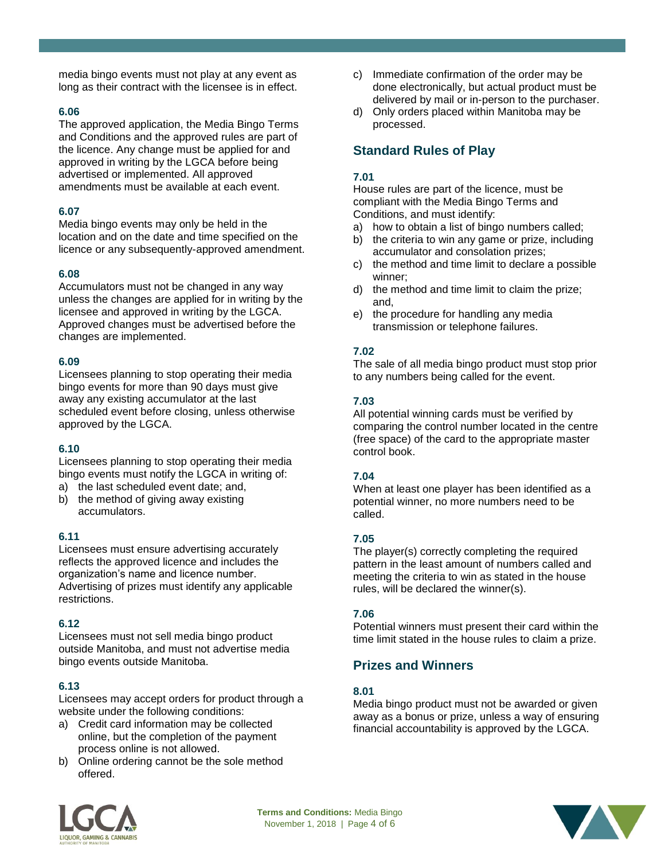media bingo events must not play at any event as long as their contract with the licensee is in effect.

## **6.06**

The approved application, the Media Bingo Terms and Conditions and the approved rules are part of the licence. Any change must be applied for and approved in writing by the LGCA before being advertised or implemented. All approved amendments must be available at each event.

## **6.07**

Media bingo events may only be held in the location and on the date and time specified on the licence or any subsequently-approved amendment.

## **6.08**

Accumulators must not be changed in any way unless the changes are applied for in writing by the licensee and approved in writing by the LGCA. Approved changes must be advertised before the changes are implemented.

# **6.09**

Licensees planning to stop operating their media bingo events for more than 90 days must give away any existing accumulator at the last scheduled event before closing, unless otherwise approved by the LGCA.

## **6.10**

Licensees planning to stop operating their media bingo events must notify the LGCA in writing of:

- a) the last scheduled event date; and,
- b) the method of giving away existing accumulators.

## **6.11**

Licensees must ensure advertising accurately reflects the approved licence and includes the organization's name and licence number. Advertising of prizes must identify any applicable restrictions.

## **6.12**

Licensees must not sell media bingo product outside Manitoba, and must not advertise media bingo events outside Manitoba.

## **6.13**

Licensees may accept orders for product through a website under the following conditions:

- a) Credit card information may be collected online, but the completion of the payment process online is not allowed.
- b) Online ordering cannot be the sole method offered.
- c) Immediate confirmation of the order may be done electronically, but actual product must be delivered by mail or in-person to the purchaser.
- d) Only orders placed within Manitoba may be processed.

# **Standard Rules of Play**

## **7.01**

House rules are part of the licence, must be compliant with the Media Bingo Terms and Conditions, and must identify:

- a) how to obtain a list of bingo numbers called;
- b) the criteria to win any game or prize, including accumulator and consolation prizes;
- c) the method and time limit to declare a possible winner;
- d) the method and time limit to claim the prize; and,
- e) the procedure for handling any media transmission or telephone failures.

# **7.02**

The sale of all media bingo product must stop prior to any numbers being called for the event.

## **7.03**

All potential winning cards must be verified by comparing the control number located in the centre (free space) of the card to the appropriate master control book.

## **7.04**

When at least one player has been identified as a potential winner, no more numbers need to be called.

# **7.05**

The player(s) correctly completing the required pattern in the least amount of numbers called and meeting the criteria to win as stated in the house rules, will be declared the winner(s).

## **7.06**

Potential winners must present their card within the time limit stated in the house rules to claim a prize.

# **Prizes and Winners**

## **8.01**

Media bingo product must not be awarded or given away as a bonus or prize, unless a way of ensuring financial accountability is approved by the LGCA.



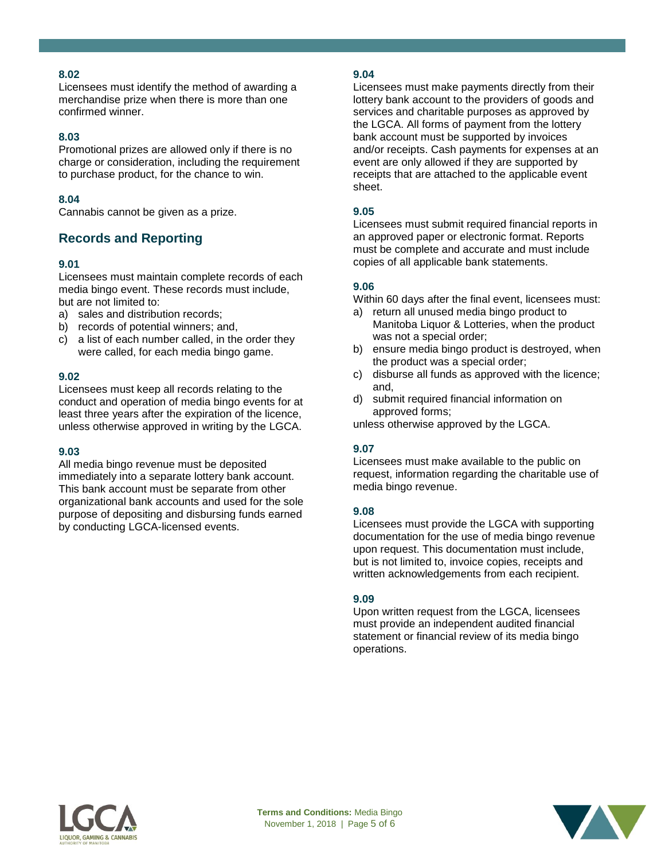## **8.02**

Licensees must identify the method of awarding a merchandise prize when there is more than one confirmed winner.

## **8.03**

Promotional prizes are allowed only if there is no charge or consideration, including the requirement to purchase product, for the chance to win.

## **8.04**

Cannabis cannot be given as a prize.

# **Records and Reporting**

## **9.01**

Licensees must maintain complete records of each media bingo event. These records must include, but are not limited to:

- a) sales and distribution records;
- b) records of potential winners; and,
- c) a list of each number called, in the order they were called, for each media bingo game.

#### **9.02**

Licensees must keep all records relating to the conduct and operation of media bingo events for at least three years after the expiration of the licence, unless otherwise approved in writing by the LGCA.

#### **9.03**

All media bingo revenue must be deposited immediately into a separate lottery bank account. This bank account must be separate from other organizational bank accounts and used for the sole purpose of depositing and disbursing funds earned by conducting LGCA-licensed events.

#### **9.04**

Licensees must make payments directly from their lottery bank account to the providers of goods and services and charitable purposes as approved by the LGCA. All forms of payment from the lottery bank account must be supported by invoices and/or receipts. Cash payments for expenses at an event are only allowed if they are supported by receipts that are attached to the applicable event sheet.

#### **9.05**

Licensees must submit required financial reports in an approved paper or electronic format. Reports must be complete and accurate and must include copies of all applicable bank statements.

## **9.06**

Within 60 days after the final event, licensees must:

- a) return all unused media bingo product to Manitoba Liquor & Lotteries, when the product was not a special order;
- b) ensure media bingo product is destroyed, when the product was a special order;
- c) disburse all funds as approved with the licence; and,
- d) submit required financial information on approved forms;

unless otherwise approved by the LGCA.

## **9.07**

Licensees must make available to the public on request, information regarding the charitable use of media bingo revenue.

#### **9.08**

Licensees must provide the LGCA with supporting documentation for the use of media bingo revenue upon request. This documentation must include, but is not limited to, invoice copies, receipts and written acknowledgements from each recipient.

#### **9.09**

Upon written request from the LGCA, licensees must provide an independent audited financial statement or financial review of its media bingo operations.